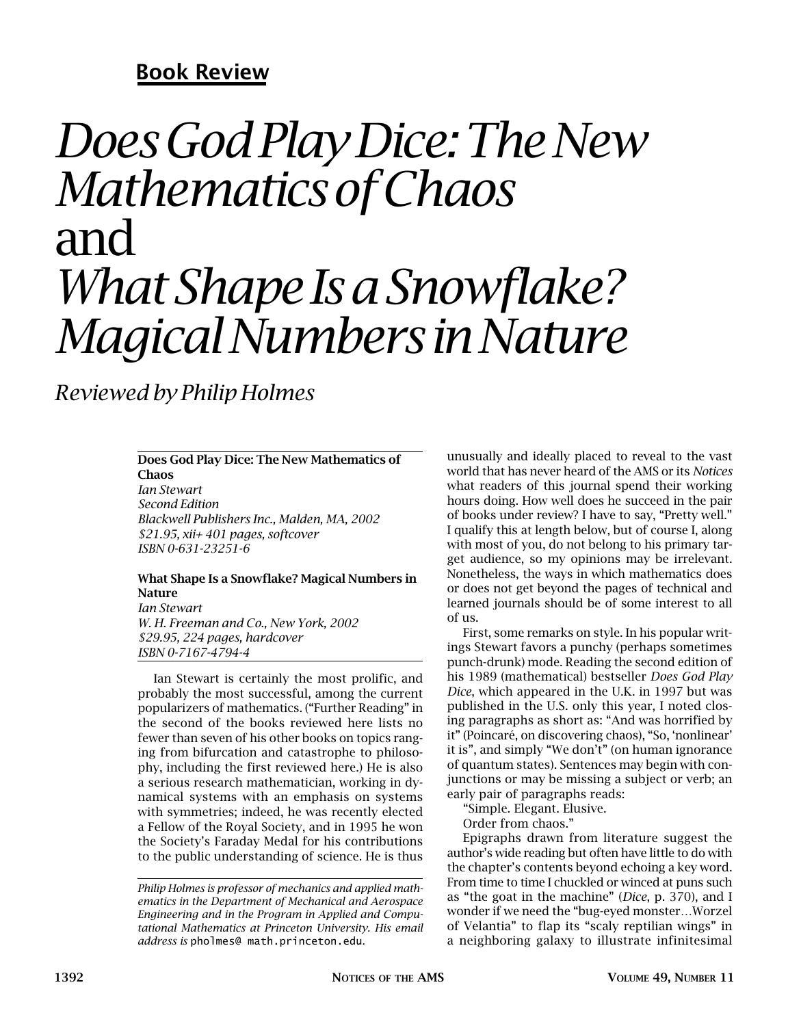# **Book Review**

# *Does God Play Dice: The New Mathematics of Chaos* and *What Shape Is a Snowflake? Magical Numbers in Nature*

*Reviewed by Philip Holmes*

#### **Does God Play Dice: The New Mathematics of Chaos**

*Ian Stewart Second Edition Blackwell Publishers Inc., Malden, MA, 2002 \$21.95, xii+ 401 pages, softcover ISBN 0-631-23251-6*

## **What Shape Is a Snowflake? Magical Numbers in Nature**

*Ian Stewart W. H. Freeman and Co., New York, 2002 \$29.95, 224 pages, hardcover ISBN 0-7167-4794-4*

Ian Stewart is certainly the most prolific, and probably the most successful, among the current popularizers of mathematics. ("Further Reading" in the second of the books reviewed here lists no fewer than seven of his other books on topics ranging from bifurcation and catastrophe to philosophy, including the first reviewed here.) He is also a serious research mathematician, working in dynamical systems with an emphasis on systems with symmetries; indeed, he was recently elected a Fellow of the Royal Society, and in 1995 he won the Society's Faraday Medal for his contributions to the public understanding of science. He is thus unusually and ideally placed to reveal to the vast world that has never heard of the AMS or its *Notices* what readers of this journal spend their working hours doing. How well does he succeed in the pair of books under review? I have to say, "Pretty well." I qualify this at length below, but of course I, along with most of you, do not belong to his primary target audience, so my opinions may be irrelevant. Nonetheless, the ways in which mathematics does or does not get beyond the pages of technical and learned journals should be of some interest to all of us.

First, some remarks on style. In his popular writings Stewart favors a punchy (perhaps sometimes punch-drunk) mode. Reading the second edition of his 1989 (mathematical) bestseller *Does God Play Dice*, which appeared in the U.K. in 1997 but was published in the U.S. only this year, I noted closing paragraphs as short as: "And was horrified by it" (Poincaré, on discovering chaos), "So, 'nonlinear' it is", and simply "We don't" (on human ignorance of quantum states). Sentences may begin with conjunctions or may be missing a subject or verb; an early pair of paragraphs reads:

"Simple. Elegant. Elusive.

Order from chaos."

Epigraphs drawn from literature suggest the author's wide reading but often have little to do with the chapter's contents beyond echoing a key word. From time to time I chuckled or winced at puns such as "the goat in the machine" (*Dice*, p. 370), and I wonder if we need the "bug-eyed monster…Worzel of Velantia" to flap its "scaly reptilian wings" in a neighboring galaxy to illustrate infinitesimal

*Philip Holmes is professor of mechanics and applied mathematics in the Department of Mechanical and Aerospace Engineering and in the Program in Applied and Computational Mathematics at Princeton University. His email address is* pholmes@ math.princeton.edu*.*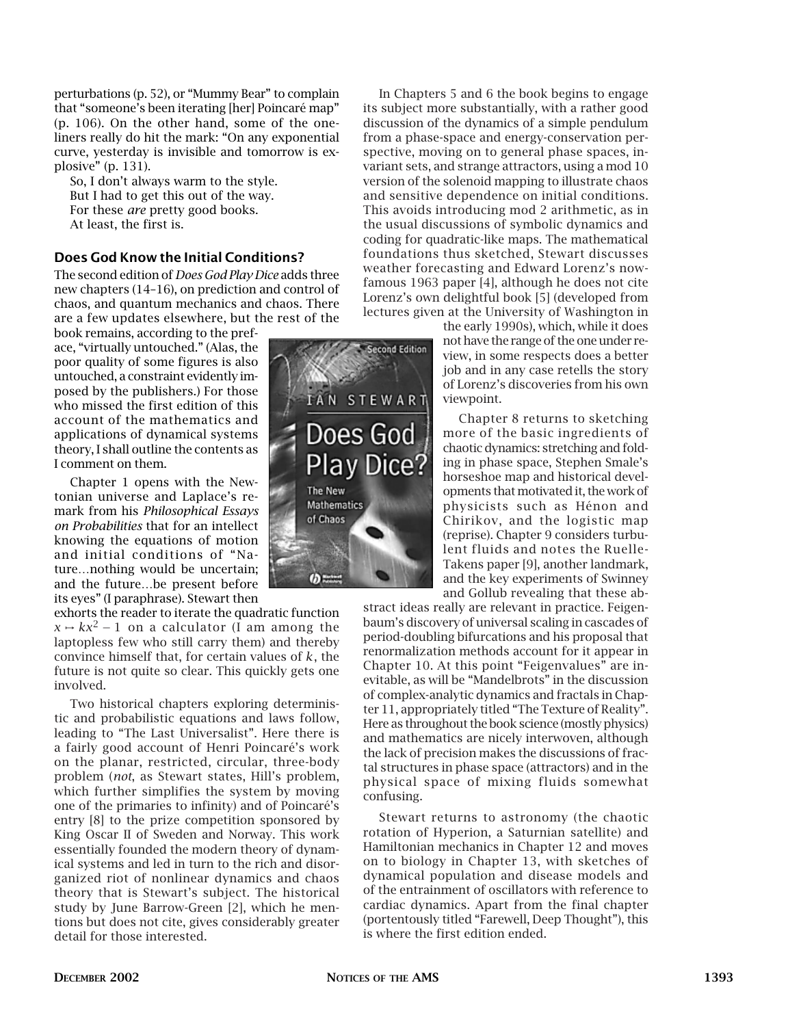perturbations (p. 52), or "Mummy Bear" to complain that "someone's been iterating [her] Poincaré map" (p. 106). On the other hand, some of the oneliners really do hit the mark: "On any exponential curve, yesterday is invisible and tomorrow is explosive" (p. 131).

So, I don't always warm to the style. But I had to get this out of the way. For these *are* pretty good books. At least, the first is.

### **Does God Know the Initial Conditions?**

The second edition of *Does God Play Dice* adds three new chapters (14–16), on prediction and control of chaos, and quantum mechanics and chaos. There are a few updates elsewhere, but the rest of the

book remains, according to the preface, "virtually untouched." (Alas, the poor quality of some figures is also untouched, a constraint evidently imposed by the publishers.) For those who missed the first edition of this account of the mathematics and applications of dynamical systems theory, I shall outline the contents as I comment on them.

Chapter 1 opens with the Newtonian universe and Laplace's remark from his *Philosophical Essays on Probabilities* that for an intellect knowing the equations of motion and initial conditions of "Nature…nothing would be uncertain; and the future…be present before its eyes" (I paraphrase). Stewart then

exhorts the reader to iterate the quadratic function  $x \mapsto kx^2 - 1$  on a calculator (I am among the laptopless few who still carry them) and thereby convince himself that, for certain values of *k*, the future is not quite so clear. This quickly gets one involved.

Two historical chapters exploring deterministic and probabilistic equations and laws follow, leading to "The Last Universalist". Here there is a fairly good account of Henri Poincaré's work on the planar, restricted, circular, three-body problem (*not*, as Stewart states, Hill's problem, which further simplifies the system by moving one of the primaries to infinity) and of Poincaré's entry [8] to the prize competition sponsored by King Oscar II of Sweden and Norway. This work essentially founded the modern theory of dynamical systems and led in turn to the rich and disorganized riot of nonlinear dynamics and chaos theory that is Stewart's subject. The historical study by June Barrow-Green [2], which he mentions but does not cite, gives considerably greater detail for those interested.



In Chapters 5 and 6 the book begins to engage its subject more substantially, with a rather good discussion of the dynamics of a simple pendulum from a phase-space and energy-conservation perspective, moving on to general phase spaces, invariant sets, and strange attractors, using a mod 10 version of the solenoid mapping to illustrate chaos and sensitive dependence on initial conditions. This avoids introducing mod 2 arithmetic, as in the usual discussions of symbolic dynamics and coding for quadratic-like maps. The mathematical foundations thus sketched, Stewart discusses weather forecasting and Edward Lorenz's nowfamous 1963 paper [4], although he does not cite Lorenz's own delightful book [5] (developed from lectures given at the University of Washington in

> the early 1990s), which, while it does not have the range of the one under review, in some respects does a better job and in any case retells the story of Lorenz's discoveries from his own viewpoint.

> Chapter 8 returns to sketching more of the basic ingredients of chaotic dynamics: stretching and folding in phase space, Stephen Smale's horseshoe map and historical developments that motivated it, the work of physicists such as Hénon and Chirikov, and the logistic map (reprise). Chapter 9 considers turbulent fluids and notes the Ruelle-Takens paper [9], another landmark, and the key experiments of Swinney and Gollub revealing that these ab-

stract ideas really are relevant in practice. Feigenbaum's discovery of universal scaling in cascades of period-doubling bifurcations and his proposal that renormalization methods account for it appear in Chapter 10. At this point "Feigenvalues" are inevitable, as will be "Mandelbrots" in the discussion of complex-analytic dynamics and fractals in Chapter 11, appropriately titled "The Texture of Reality". Here as throughout the book science (mostly physics) and mathematics are nicely interwoven, although the lack of precision makes the discussions of fractal structures in phase space (attractors) and in the physical space of mixing fluids somewhat confusing.

Stewart returns to astronomy (the chaotic rotation of Hyperion, a Saturnian satellite) and Hamiltonian mechanics in Chapter 12 and moves on to biology in Chapter 13, with sketches of dynamical population and disease models and of the entrainment of oscillators with reference to cardiac dynamics. Apart from the final chapter (portentously titled "Farewell, Deep Thought"), this is where the first edition ended.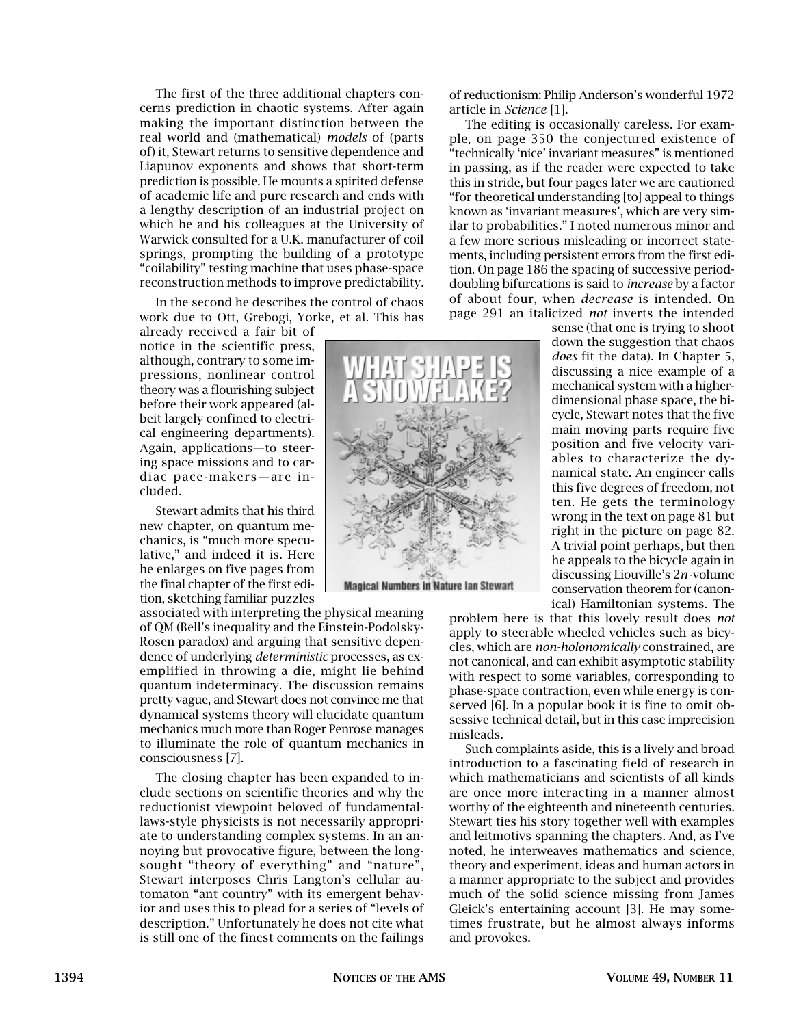The first of the three additional chapters concerns prediction in chaotic systems. After again making the important distinction between the real world and (mathematical) *models* of (parts of) it, Stewart returns to sensitive dependence and Liapunov exponents and shows that short-term prediction is possible. He mounts a spirited defense of academic life and pure research and ends with a lengthy description of an industrial project on which he and his colleagues at the University of Warwick consulted for a U.K. manufacturer of coil springs, prompting the building of a prototype "coilability" testing machine that uses phase-space reconstruction methods to improve predictability.

In the second he describes the control of chaos work due to Ott, Grebogi, Yorke, et al. This has

already received a fair bit of notice in the scientific press, although, contrary to some impressions, nonlinear control theory was a flourishing subject before their work appeared (albeit largely confined to electrical engineering departments). Again, applications—to steering space missions and to cardiac pace-makers—are included.

Stewart admits that his third new chapter, on quantum mechanics, is "much more speculative," and indeed it is. Here he enlarges on five pages from the final chapter of the first edition, sketching familiar puzzles

associated with interpreting the physical meaning of QM (Bell's inequality and the Einstein-Podolsky-Rosen paradox) and arguing that sensitive dependence of underlying *deterministic* processes, as exemplified in throwing a die, might lie behind quantum indeterminacy. The discussion remains pretty vague, and Stewart does not convince me that dynamical systems theory will elucidate quantum mechanics much more than Roger Penrose manages to illuminate the role of quantum mechanics in consciousness [7].

The closing chapter has been expanded to include sections on scientific theories and why the reductionist viewpoint beloved of fundamentallaws-style physicists is not necessarily appropriate to understanding complex systems. In an annoying but provocative figure, between the longsought "theory of everything" and "nature", Stewart interposes Chris Langton's cellular automaton "ant country" with its emergent behavior and uses this to plead for a series of "levels of description." Unfortunately he does not cite what is still one of the finest comments on the failings of reductionism: Philip Anderson's wonderful 1972 article in *Science* [1].

The editing is occasionally careless. For example, on page 350 the conjectured existence of "technically 'nice' invariant measures" is mentioned in passing, as if the reader were expected to take this in stride, but four pages later we are cautioned "for theoretical understanding [to] appeal to things known as 'invariant measures', which are very similar to probabilities." I noted numerous minor and a few more serious misleading or incorrect statements, including persistent errors from the first edition. On page 186 the spacing of successive perioddoubling bifurcations is said to *increase* by a factor of about four, when *decrease* is intended. On page 291 an italicized *not* inverts the intended

> sense (that one is trying to shoot down the suggestion that chaos *does* fit the data). In Chapter 5, discussing a nice example of a mechanical system with a higherdimensional phase space, the bicycle, Stewart notes that the five main moving parts require five position and five velocity variables to characterize the dynamical state. An engineer calls this five degrees of freedom, not ten. He gets the terminology wrong in the text on page 81 but right in the picture on page 82. A trivial point perhaps, but then he appeals to the bicycle again in discussing Liouville's 2*n*-volume conservation theorem for (canonical) Hamiltonian systems. The

problem here is that this lovely result does *not* apply to steerable wheeled vehicles such as bicycles, which are *non-holonomically* constrained, are not canonical, and can exhibit asymptotic stability with respect to some variables, corresponding to phase-space contraction, even while energy is conserved [6]. In a popular book it is fine to omit obsessive technical detail, but in this case imprecision misleads.

Such complaints aside, this is a lively and broad introduction to a fascinating field of research in which mathematicians and scientists of all kinds are once more interacting in a manner almost worthy of the eighteenth and nineteenth centuries. Stewart ties his story together well with examples and leitmotivs spanning the chapters. And, as I've noted, he interweaves mathematics and science, theory and experiment, ideas and human actors in a manner appropriate to the subject and provides much of the solid science missing from James Gleick's entertaining account [3]. He may sometimes frustrate, but he almost always informs and provokes.

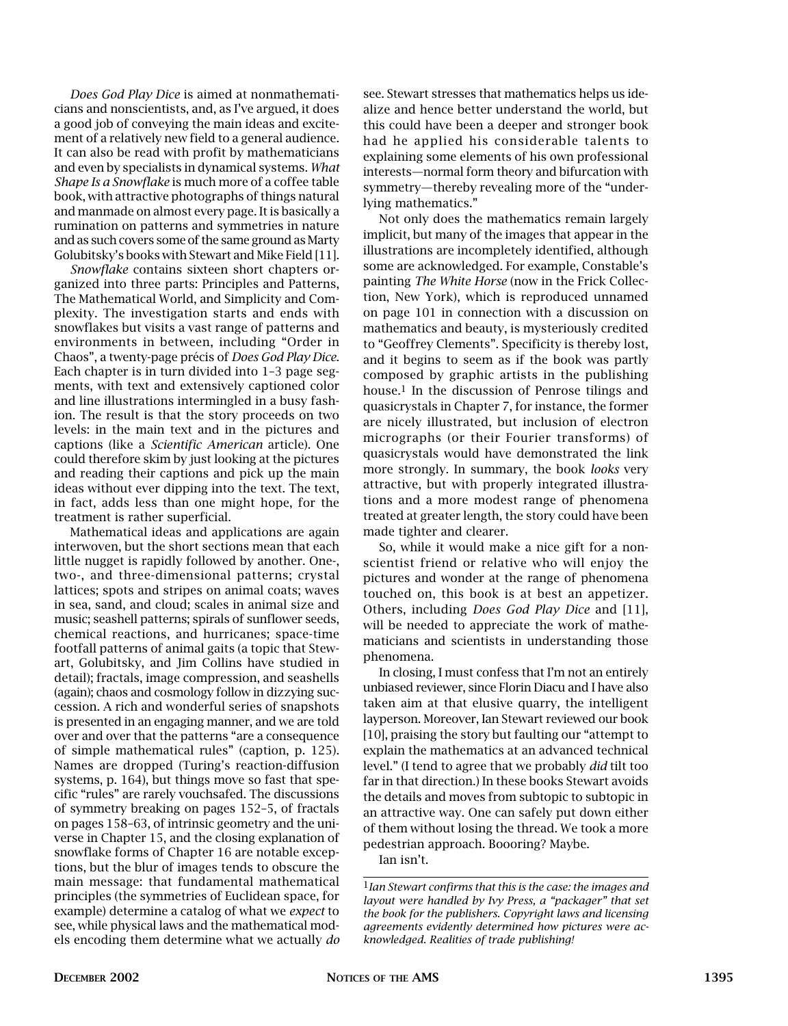*Does God Play Dice* is aimed at nonmathematicians and nonscientists, and, as I've argued, it does a good job of conveying the main ideas and excitement of a relatively new field to a general audience. It can also be read with profit by mathematicians and even by specialists in dynamical systems. *What Shape Is a Snowflake* is much more of a coffee table book, with attractive photographs of things natural and manmade on almost every page. It is basically a rumination on patterns and symmetries in nature and as such covers some of the same ground as Marty Golubitsky's books with Stewart and Mike Field [11].

*Snowflake* contains sixteen short chapters organized into three parts: Principles and Patterns, The Mathematical World, and Simplicity and Complexity. The investigation starts and ends with snowflakes but visits a vast range of patterns and environments in between, including "Order in Chaos", a twenty-page précis of *Does God Play Dice*. Each chapter is in turn divided into 1–3 page segments, with text and extensively captioned color and line illustrations intermingled in a busy fashion. The result is that the story proceeds on two levels: in the main text and in the pictures and captions (like a *Scientific American* article). One could therefore skim by just looking at the pictures and reading their captions and pick up the main ideas without ever dipping into the text. The text, in fact, adds less than one might hope, for the treatment is rather superficial.

Mathematical ideas and applications are again interwoven, but the short sections mean that each little nugget is rapidly followed by another. One-, two-, and three-dimensional patterns; crystal lattices; spots and stripes on animal coats; waves in sea, sand, and cloud; scales in animal size and music; seashell patterns; spirals of sunflower seeds, chemical reactions, and hurricanes; space-time footfall patterns of animal gaits (a topic that Stewart, Golubitsky, and Jim Collins have studied in detail); fractals, image compression, and seashells (again); chaos and cosmology follow in dizzying succession. A rich and wonderful series of snapshots is presented in an engaging manner, and we are told over and over that the patterns "are a consequence of simple mathematical rules" (caption, p. 125). Names are dropped (Turing's reaction-diffusion systems, p. 164), but things move so fast that specific "rules" are rarely vouchsafed. The discussions of symmetry breaking on pages 152–5, of fractals on pages 158–63, of intrinsic geometry and the universe in Chapter 15, and the closing explanation of snowflake forms of Chapter 16 are notable exceptions, but the blur of images tends to obscure the main message: that fundamental mathematical principles (the symmetries of Euclidean space, for example) determine a catalog of what we *expect* to see, while physical laws and the mathematical models encoding them determine what we actually *do* see. Stewart stresses that mathematics helps us idealize and hence better understand the world, but this could have been a deeper and stronger book had he applied his considerable talents to explaining some elements of his own professional interests—normal form theory and bifurcation with symmetry—thereby revealing more of the "underlying mathematics."

Not only does the mathematics remain largely implicit, but many of the images that appear in the illustrations are incompletely identified, although some are acknowledged. For example, Constable's painting *The White Horse* (now in the Frick Collection, New York), which is reproduced unnamed on page 101 in connection with a discussion on mathematics and beauty, is mysteriously credited to "Geoffrey Clements". Specificity is thereby lost, and it begins to seem as if the book was partly composed by graphic artists in the publishing house.1 In the discussion of Penrose tilings and quasicrystals in Chapter 7, for instance, the former are nicely illustrated, but inclusion of electron micrographs (or their Fourier transforms) of quasicrystals would have demonstrated the link more strongly. In summary, the book *looks* very attractive, but with properly integrated illustrations and a more modest range of phenomena treated at greater length, the story could have been made tighter and clearer.

So, while it would make a nice gift for a nonscientist friend or relative who will enjoy the pictures and wonder at the range of phenomena touched on, this book is at best an appetizer. Others, including *Does God Play Dice* and [11], will be needed to appreciate the work of mathematicians and scientists in understanding those phenomena.

In closing, I must confess that I'm not an entirely unbiased reviewer, since Florin Diacu and I have also taken aim at that elusive quarry, the intelligent layperson. Moreover, Ian Stewart reviewed our book [10], praising the story but faulting our "attempt to explain the mathematics at an advanced technical level." (I tend to agree that we probably *did* tilt too far in that direction.) In these books Stewart avoids the details and moves from subtopic to subtopic in an attractive way. One can safely put down either of them without losing the thread. We took a more pedestrian approach. Boooring? Maybe.

Ian isn't.

<sup>1</sup>*Ian Stewart confirms that this is the case: the images and layout were handled by Ivy Press, a "packager" that set the book for the publishers. Copyright laws and licensing agreements evidently determined how pictures were acknowledged. Realities of trade publishing!*